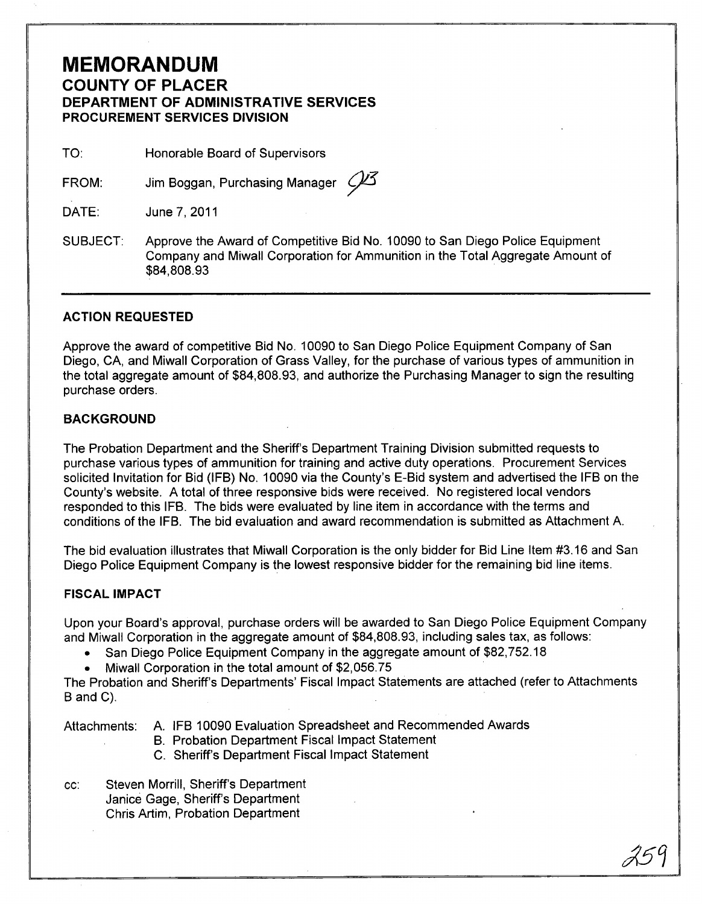# **MEMORANDUM COUNTY OF PLACER DEPARTMENT OF ADMINISTRATIVE SERVICES PROCUREMENT SERVICES DIVISION**

TO: Honorable Board of Supervisors

FROM: Jim Boggan, Purchasing Manager  $\mathscr{P}$ 3

DATE: June 7,2011

SUBJECT: Approve the Award of Competitive Bid No.1 0090 to San Diego Police Equipment Company and Miwall Corporation for Ammunition in the Total Aggregate Amount of \$84,808.93

## **ACTION REQUESTED**

Approve the award of competitive Bid No. 10090 to San Diego Police Equipment Company of San Diego, CA, and Miwall Corporation of Grass Valley, for the purchase of various types of ammunition in the total aggregate amount of \$84,808.93, and authorize the Purchasing Manager to sign the resulting purchase orders.

## **BACKGROUND**

The Probation Department and the Sheriff's Department Training Division submitted requests to purchase various types of ammunition for training and active duty operations. Procurement Services solicited Invitation for Bid (IFB) No.1 0090 via the County's E-Bid system and advertised the IFB on the County's website. A total of three responsive bids were received. No registered local vendors responded to this IFB. The bids were evaluated by line item in accordance with the terms and conditions of the IFB. The bid evaluation and award recommendation is submitted as Attachment A.

The bid evaluation illustrates that Miwall Corporation is the only bidder for Bid Line Item #3.16 and San Diego Police Equipment Company is the lowest responsive bidder for the remaining bid line items.

### **FISCAL IMPACT**

Upon your Board's approval, purchase orders will be awarded to San Diego Police Equipment Company and Miwall Corporation in the aggregate amount of \$84,808.93, including sales tax, as follows:

- San Diego Police Equipment Company in the aggregate amount of \$82,752.18
- Miwall Corporation in the total amount of \$2,056.75

The Probation and Sheriff's Departments' Fiscal Impact Statements are attached (refer to Attachments B and C).

- Attachments: A. IFB 10090 Evaluation Spreadsheet and Recommended Awards
	- B. Probation Department Fiscal Impact Statement
	- C. Sheriff's Department Fiscal Impact Statement
- cc: Steven Morrill, Sheriff's Department Janice Gage, Sheriff's Department Chris Artim, Probation Department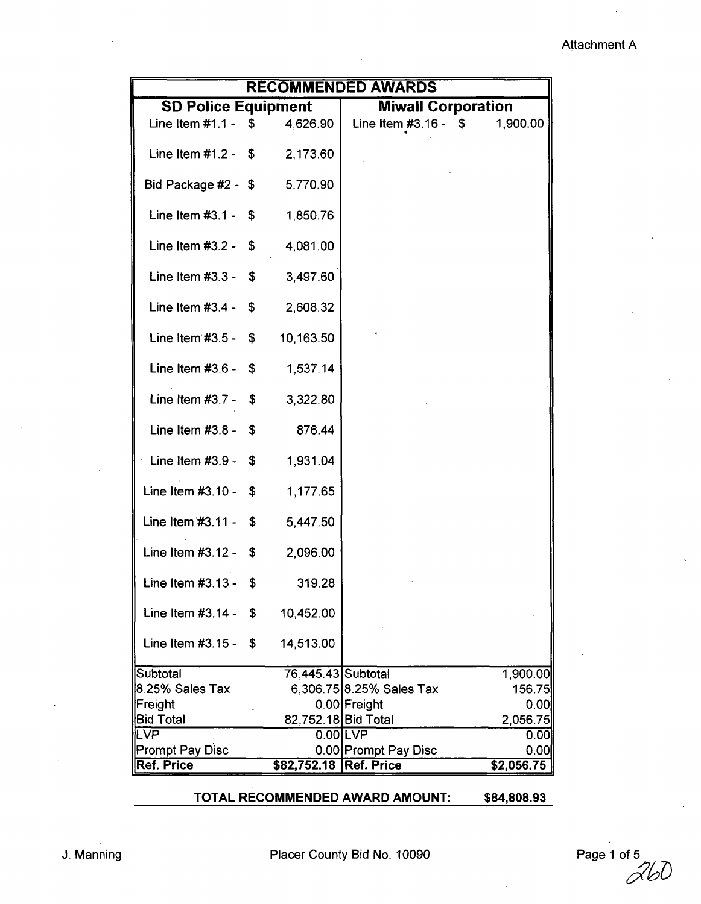## Attachment A

| <b>RECOMMENDED AWARDS</b>       |     |                     |                           |            |  |  |  |  |  |
|---------------------------------|-----|---------------------|---------------------------|------------|--|--|--|--|--|
| <b>SD Police Equipment</b>      |     |                     | <b>Miwall Corporation</b> |            |  |  |  |  |  |
| Line Item $#1.1 - $$            |     | 4,626.90            | Line Item #3.16 - $$$     | 1,900.00   |  |  |  |  |  |
| Line Item $#1.2 - $$            |     | 2,173.60            |                           |            |  |  |  |  |  |
| Bid Package #2 - \$             |     | 5,770.90            |                           |            |  |  |  |  |  |
| Line Item $#3.1 - $$            |     | 1,850.76            |                           |            |  |  |  |  |  |
| Line Item $#3.2 - $$            |     | 4,081.00            |                           |            |  |  |  |  |  |
| Line Item $#3.3 - $$            |     | 3,497.60            |                           |            |  |  |  |  |  |
| Line Item $#3.4 -$              | \$  | 2,608.32            |                           |            |  |  |  |  |  |
| Line Item $#3.5 -$              | \$  | 10,163.50           |                           |            |  |  |  |  |  |
| Line Item $#3.6 - $$            |     | 1,537.14            |                           |            |  |  |  |  |  |
| Line Item $#3.7 - $$            |     | 3,322.80            |                           |            |  |  |  |  |  |
| Line Item $#3.8 -$              | \$  | 876.44              |                           |            |  |  |  |  |  |
| Line Item $#3.9 -$              | -\$ | 1,931.04            |                           |            |  |  |  |  |  |
| Line Item $#3.10 -$             | \$  | 1,177.65            |                           |            |  |  |  |  |  |
| Line Item $#3.11 - $$           |     | 5,447.50            |                           |            |  |  |  |  |  |
| Line Item $#3.12 - $$           |     | 2,096.00            |                           |            |  |  |  |  |  |
| Line Item $#3.13 -$             | \$  | 319.28              |                           |            |  |  |  |  |  |
| Line Item #3.14 - $$ 10,452.00$ |     |                     |                           |            |  |  |  |  |  |
| Line Item $#3.15 -$             | \$  | 14,513.00           |                           |            |  |  |  |  |  |
| Subtotal                        |     | 76,445.43 Subtotal  |                           | 1,900.00   |  |  |  |  |  |
| 8.25% Sales Tax                 |     |                     | 6,306.75 8.25% Sales Tax  | 156.75     |  |  |  |  |  |
| Freight                         |     |                     | 0.00 Freight              | 0.00       |  |  |  |  |  |
| <b>Bid Total</b>                |     | 82,752.18 Bid Total |                           | 2,056.75   |  |  |  |  |  |
| _VP                             |     |                     | $0.00$ LVP                | 0.00       |  |  |  |  |  |
| <b>Prompt Pay Disc</b>          |     |                     | 0.00 Prompt Pay Disc      | 0.00       |  |  |  |  |  |
| Ref. Price                      |     | \$82,752.18         | <b>Ref. Price</b>         | \$2,056.75 |  |  |  |  |  |
|                                 |     |                     |                           |            |  |  |  |  |  |

## TOTAL RECOMMENDED AWARD AMOUNT: \$84,808.93

J. Manning **Placer County Bid No. 10090** 

Page 1 of 5<br> $\overrightarrow{\triangle}b\overrightarrow{0}$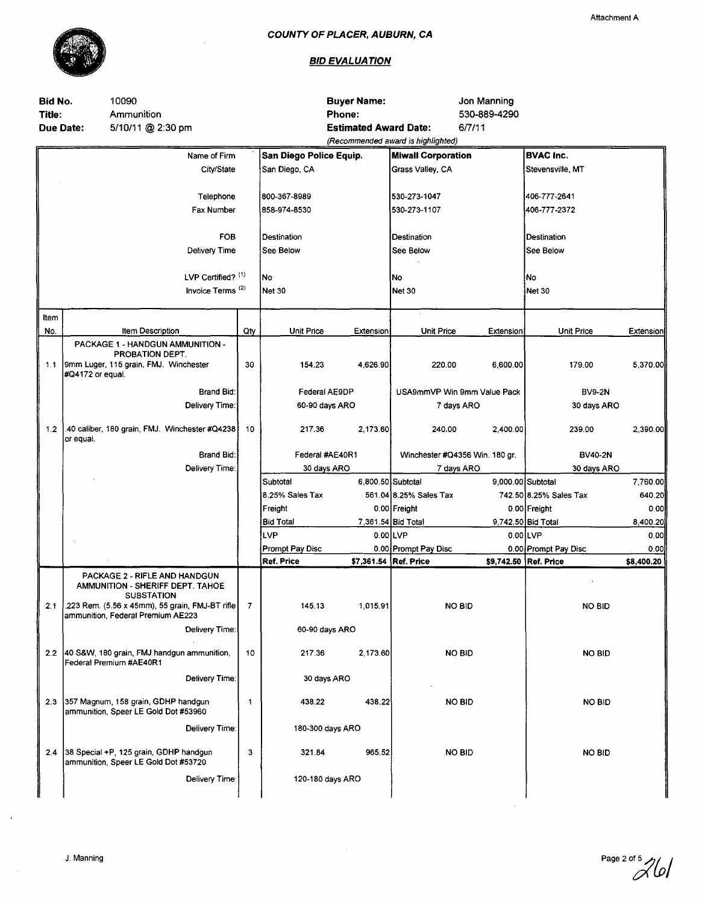

 $\mathcal{L}_{\mathcal{A}}$ 

| Attachment A |  |
|--------------|--|
|--------------|--|

| Bid No.<br>Title:<br>Due Date: |                  | 10090<br>Ammunition<br>5/10/11 @ 2:30 pm                                                |              |                         | <b>Buyer Name:</b><br><b>Phone:</b><br><b>Estimated Award Date:</b> | 6/7/11<br>(Recommended award is highlighted) | Jon Manning<br>530-889-4290 |                               |              |
|--------------------------------|------------------|-----------------------------------------------------------------------------------------|--------------|-------------------------|---------------------------------------------------------------------|----------------------------------------------|-----------------------------|-------------------------------|--------------|
|                                |                  | Name of Firm                                                                            |              | San Diego Police Equip. |                                                                     | <b>Miwall Corporation</b>                    |                             | <b>BVAC Inc.</b>              |              |
|                                |                  | City/State                                                                              |              | San Diego, CA           |                                                                     | Grass Valley, CA                             |                             | Stevensville, MT              |              |
|                                |                  | Telephone                                                                               |              | 800-367-8989            |                                                                     | 530-273-1047                                 |                             | 406-777-2641                  |              |
|                                |                  | Fax Number                                                                              |              | 858-974-8530            |                                                                     | 530-273-1107                                 |                             | 406-777-2372                  |              |
|                                |                  | <b>FOB</b>                                                                              |              | Destination             |                                                                     | Destination                                  |                             | Destination                   |              |
|                                |                  | Delivery Time                                                                           |              | See Below               |                                                                     | See Below                                    |                             | See Below                     |              |
|                                |                  | LVP Certified? (1)                                                                      |              | No                      |                                                                     | No                                           |                             | No                            |              |
|                                |                  | Invoice Terms <sup>(2)</sup>                                                            |              | Net 30                  |                                                                     | Net 30                                       |                             | Net 30                        |              |
| Item<br>No.                    |                  | Item Description                                                                        | Qty          | <b>Unit Price</b>       | Extension                                                           | <b>Unit Price</b>                            | Extension                   | <b>Unit Price</b>             | Extension    |
|                                |                  | PACKAGE 1 - HANDGUN AMMUNITION -                                                        |              |                         |                                                                     |                                              |                             |                               |              |
|                                | #Q4172 or equal. | PROBATION DEPT.<br>1.1  9mm Luger, 115 grain, FMJ. Winchester                           | 30           | 154.23                  | 4,626.90                                                            | 220.00                                       | 6,600.00                    | 179.00                        | 5,370.00     |
|                                |                  | <b>Brand Bid:</b>                                                                       |              | Federal AE9DP           |                                                                     | USA9mmVP Win 9mm Value Pack                  |                             | <b>BV9-2N</b>                 |              |
|                                |                  | Delivery Time:                                                                          |              | 60-90 days ARO          |                                                                     | 7 days ARO                                   |                             | 30 days ARO                   |              |
| $1.2$                          | or equal.        | .40 caliber, 180 grain, FMJ. Winchester #Q4238                                          | 10           | 217.36                  | 2,173.60                                                            | 240.00                                       | 2,400.00                    | 239.00                        | 2,390.00     |
|                                |                  | Brand Bid:                                                                              |              | Federal #AE40R1         |                                                                     | Winchester #Q4356 Win. 180 gr.               |                             | <b>BV40-2N</b>                |              |
|                                |                  | Delivery Time:                                                                          |              | 30 days ARO             |                                                                     | 7 days ARO                                   |                             | 30 days ARO                   |              |
|                                |                  |                                                                                         |              | Subtotal                | 6,800.50 Subtotal                                                   |                                              |                             | 9,000.00 Subtotal             | 7,760.00     |
|                                |                  |                                                                                         |              | 8.25% Sales Tax         |                                                                     | 561.04 8.25% Sales Tax                       |                             | 742.50 8.25% Sales Tax        | 640.20       |
|                                |                  |                                                                                         |              | Freight                 |                                                                     | 0.00 Freight                                 |                             | 0.00 Freight                  | 0.00         |
|                                |                  |                                                                                         |              | <b>Bid Total</b><br>LVP | 0.00LVP                                                             | 7,361.54 Bid Total                           |                             | 9,742.50 Bid Total<br>0.00LVP | 8,400.20     |
|                                |                  |                                                                                         |              | Prompt Pay Disc         |                                                                     | 0.00 Prompt Pay Disc                         |                             | 0.00 Prompt Pay Disc          | 0.00<br>0.00 |
|                                |                  |                                                                                         |              | <b>Ref. Price</b>       | \$7,361.54 Ref. Price                                               |                                              |                             | \$9,742.50 Ref. Price         | \$8,400.20   |
|                                |                  | PACKAGE 2 - RIFLE AND HANDGUN<br>AMMUNITION - SHERIFF DEPT. TAHOE<br><b>SUBSTATION</b>  |              |                         |                                                                     |                                              |                             |                               |              |
|                                |                  | 2.1 223 Rem. (5.56 x 45mm), 55 grain, FMJ-BT rifle<br>ammunition, Federal Premium AE223 | 7            | 145.13                  | 1,015.91                                                            | <b>NO BID</b>                                |                             | NO BID                        |              |
|                                |                  | Delivery Time:                                                                          |              | 60-90 days ARO          |                                                                     |                                              |                             |                               |              |
|                                |                  | 2.2 40 S&W, 180 grain, FMJ handgun ammunition,<br>Federal Premium #AE40R1               | 10           | 217.36                  | 2,173.60                                                            | <b>NO BID</b>                                |                             | <b>NO BID</b>                 |              |
|                                |                  | Delivery Time:                                                                          |              | 30 days ARO             |                                                                     |                                              |                             |                               |              |
| 23                             |                  | 357 Magnum, 158 grain, GDHP handgun<br>ammunition, Speer LE Gold Dot #53960             | $\mathbf{1}$ | 438.22                  | 438.22                                                              | <b>NO BID</b>                                |                             | <b>NO BID</b>                 |              |
|                                |                  | Delivery Time:                                                                          |              | 180-300 days ARO        |                                                                     |                                              |                             |                               |              |
| 2.4                            |                  | 38 Special +P, 125 grain, GDHP handgun<br>ammunition, Speer LE Gold Dot #53720          | 3            | 321.84                  | 965.52                                                              | <b>NO BID</b>                                |                             | <b>NO BID</b>                 |              |
|                                |                  | Delivery Time:                                                                          |              | 120-180 days ARO        |                                                                     |                                              |                             |                               |              |
|                                |                  |                                                                                         |              |                         |                                                                     |                                              |                             |                               |              |

Page  $2^{of}$  5  $7/6$ 

 $\mathcal{A}$ 

 $\sim$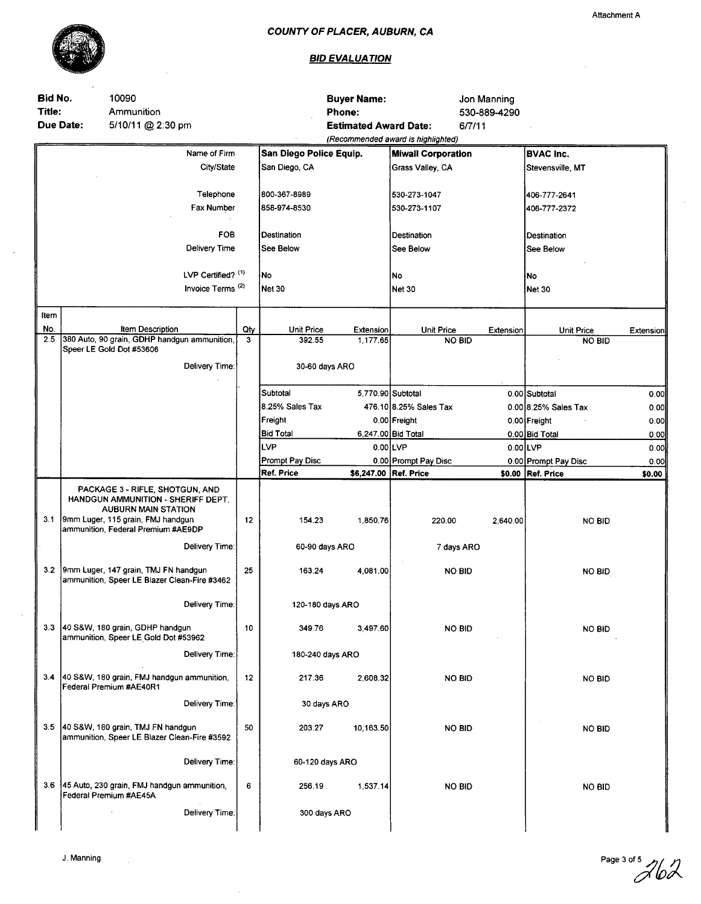

 $\sim$ 

 $\sim$ 

 $\mathbb{R}^2$ 

# **BID EVALUATION**

 $\sim$ 

| Bid No.<br>Title:<br>Due Date: | 10090<br>Ammunition<br>5/10/11 @ 2:30 pm                                                                                                                                       |                              |          |                         | <b>Buyer Name:</b><br><b>Phone:</b><br><b>Estimated Award Date:</b> |                                    | Jon Manning<br>530-889-4290<br>6/7/11 |                      |           |
|--------------------------------|--------------------------------------------------------------------------------------------------------------------------------------------------------------------------------|------------------------------|----------|-------------------------|---------------------------------------------------------------------|------------------------------------|---------------------------------------|----------------------|-----------|
|                                |                                                                                                                                                                                |                              |          |                         |                                                                     | (Recommended award is highlighted) |                                       |                      |           |
|                                |                                                                                                                                                                                | Name of Firm                 |          | San Diego Police Equip. |                                                                     | <b>Miwall Corporation</b>          |                                       | <b>BVAC Inc.</b>     |           |
|                                |                                                                                                                                                                                | City/State                   |          | San Diego, CA           |                                                                     | Grass Valley, CA                   |                                       | Stevensville, MT     |           |
|                                |                                                                                                                                                                                | Telephone                    |          | 800-367-8989            |                                                                     | 530-273-1047                       |                                       | 406-777-2641         |           |
|                                |                                                                                                                                                                                | Fax Number                   |          | 858-974-8530            |                                                                     | 530-273-1107                       |                                       | 406-777-2372         |           |
|                                |                                                                                                                                                                                | <b>FOB</b>                   |          | Destination             |                                                                     | Destination                        |                                       | Destination          |           |
|                                |                                                                                                                                                                                | Delivery Time                |          | See Below               |                                                                     | See Below                          |                                       | See Below            |           |
|                                |                                                                                                                                                                                | LVP Certified? (1)           |          | No                      |                                                                     | No.                                |                                       | No                   |           |
|                                |                                                                                                                                                                                | Invoice Terms <sup>(2)</sup> |          | <b>Net 30</b>           |                                                                     | Net 30                             |                                       | Net 30               |           |
| Item                           |                                                                                                                                                                                |                              |          |                         |                                                                     |                                    |                                       |                      |           |
| No.<br>2.5                     | Item Description<br>380 Auto, 90 grain, GDHP handgun ammunition,                                                                                                               |                              | Qty<br>3 | Unit Price              | Extension                                                           | <b>Unit Price</b>                  | Extension                             | <b>Unit Price</b>    | Extension |
|                                | Speer LE Gold Dot #53606                                                                                                                                                       |                              |          | 392.55                  | 1,177.65                                                            | <b>NO BID</b>                      |                                       | <b>NO BID</b>        |           |
|                                | Delivery Time:                                                                                                                                                                 |                              |          | 30-60 days ARO          |                                                                     |                                    |                                       |                      |           |
|                                |                                                                                                                                                                                |                              |          | Subtotal                |                                                                     | 5,770.90 Subtotal                  |                                       | 0.00 Subtotal        | 0.00      |
|                                |                                                                                                                                                                                |                              |          | 8.25% Sales Tax         |                                                                     | 476.10 8.25% Sales Tax             |                                       | 0.00 8.25% Sales Tax | 0.00      |
|                                |                                                                                                                                                                                |                              |          | Freight                 |                                                                     | 0.00 Freight                       |                                       | 0.00 Freight         | 0.00      |
|                                |                                                                                                                                                                                |                              |          | <b>Bid Total</b>        |                                                                     | 6,247.00 Bid Total                 |                                       | 0.00 Bid Total       | 0.00      |
|                                |                                                                                                                                                                                |                              |          | LVP                     |                                                                     | $0.00$ LVP                         |                                       | 0.00LVP              | 0.00      |
|                                |                                                                                                                                                                                |                              |          | Prompt Pay Disc         |                                                                     | 0.00 Prompt Pay Disc               |                                       | 0.00 Prompt Pay Disc | 0.00      |
|                                |                                                                                                                                                                                |                              |          | Ref. Price              | \$6,247.00 Ref. Price                                               |                                    |                                       | \$0.00 Ref. Price    | \$0.00    |
| 3.1                            | PACKAGE 3 - RIFLE, SHOTGUN, AND<br>HANDGUN AMMUNITION - SHERIFF DEPT.<br><b>AUBURN MAIN STATION</b><br>9mm Luger, 115 grain, FMJ handgun<br>ammunition, Federal Premium #AE9DP |                              | 12       | 154.23                  | 1,850.76                                                            | 220.00                             | 2,640.00                              | <b>NO BID</b>        |           |
|                                | Delivery Time:                                                                                                                                                                 |                              |          | 60-90 days ARO          |                                                                     | 7 days ARO                         |                                       |                      |           |
|                                | 3.2 9mm Luger, 147 grain, TMJ FN handgun<br>ammunition, Speer LE Blazer Clean-Fire #3462                                                                                       |                              | 25       | 163.24                  | 4,081.00                                                            | <b>NO BID</b>                      |                                       | <b>NO BID</b>        |           |
|                                | Delivery Time:                                                                                                                                                                 |                              |          | 120-180 days ARO        |                                                                     |                                    |                                       |                      |           |
|                                | 3.3 40 S&W, 180 grain, GDHP handgun<br>ammunition, Speer LE Gold Dot #53962                                                                                                    |                              | 10       | 349.76                  | 3,497.60                                                            | <b>NO BID</b>                      |                                       | <b>NO BID</b>        |           |
|                                | Delivery Time:                                                                                                                                                                 |                              |          | 180-240 days ARO        |                                                                     |                                    |                                       |                      |           |
|                                | 3.4 40 S&W, 180 grain, FMJ handgun ammunition,<br>Federal Premium #AE40R1                                                                                                      |                              | 12       | 217.36                  | 2.608.32                                                            | NO BID                             |                                       | <b>NO BID</b>        |           |
|                                | Delivery Time:                                                                                                                                                                 |                              |          | 30 days ARO             |                                                                     |                                    |                                       |                      |           |
|                                | 3.5 40 S&W, 180 grain, TMJ FN handgun<br>ammunition, Speer LE Blazer Clean-Fire #3592                                                                                          |                              | 50       | 203.27                  | 10,163.50                                                           | <b>NO BID</b>                      |                                       | <b>NO BID</b>        |           |
|                                | Delivery Time:                                                                                                                                                                 |                              |          | 60-120 days ARO         |                                                                     |                                    |                                       |                      |           |
|                                | 3.6 45 Auto, 230 grain, FMJ handgun ammunition,<br>Federal Premium #AE45A                                                                                                      |                              | 6        | 256.19                  | 1,537.14                                                            | <b>NO BID</b>                      |                                       | <b>NO BID</b>        |           |
|                                | Delivery Time:                                                                                                                                                                 |                              |          | 300 days ARO            |                                                                     |                                    |                                       |                      |           |

 $\sim 10$ 

 $\sim$ 

Page 3 of 5  $\n\frac{\partial}{\partial \alpha}$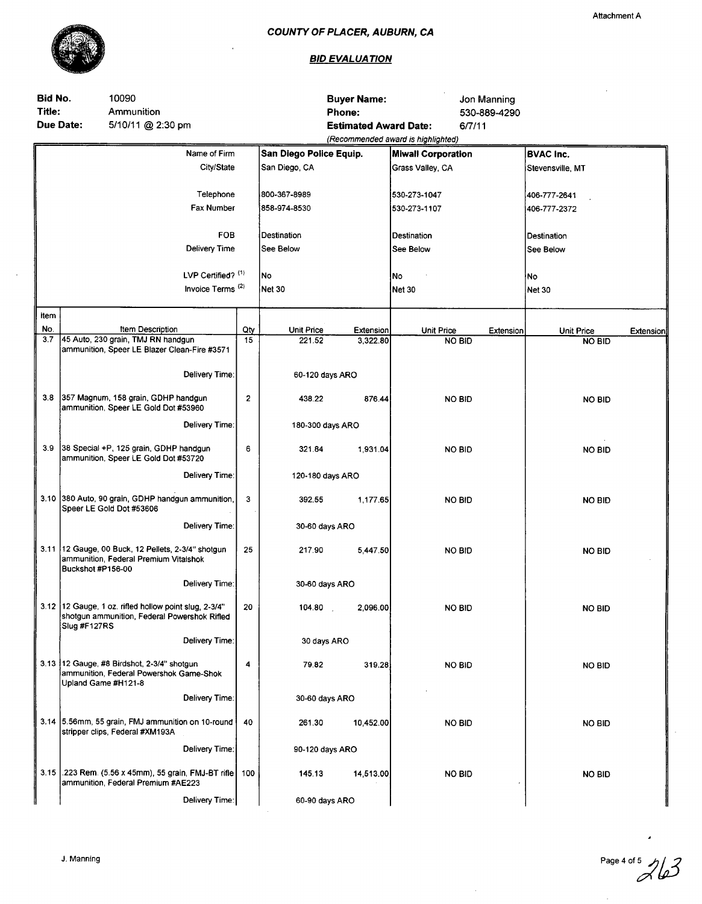

#### **BID EVALUATION**

| Bid No.<br>10090<br>Title:<br>Ammunition<br><b>Due Date:</b><br>5/10/11 @ 2:30 pm |                     |                                                                                                       |              | Phone:                  | <b>Buyer Name:</b><br><b>Estimated Award Date:</b> | (Recommended award is highlighted) | Jon Manning<br>530-889-4290<br>6/7/11 |                  |               |                  |
|-----------------------------------------------------------------------------------|---------------------|-------------------------------------------------------------------------------------------------------|--------------|-------------------------|----------------------------------------------------|------------------------------------|---------------------------------------|------------------|---------------|------------------|
|                                                                                   |                     | Name of Firm                                                                                          |              | San Diego Police Equip. |                                                    | <b>Miwall Corporation</b>          |                                       | <b>BVAC Inc.</b> |               |                  |
|                                                                                   |                     | City/State                                                                                            |              | San Diego, CA           |                                                    | Grass Valley, CA                   |                                       | Stevensville, MT |               |                  |
|                                                                                   |                     | Telephone                                                                                             |              | 800-367-8989            |                                                    | 530-273-1047                       |                                       | 406-777-2641     |               |                  |
|                                                                                   |                     | Fax Number                                                                                            |              | 858-974-8530            |                                                    | 530-273-1107                       |                                       | 406-777-2372     |               |                  |
|                                                                                   |                     |                                                                                                       |              |                         |                                                    |                                    |                                       |                  |               |                  |
|                                                                                   |                     | <b>FOB</b>                                                                                            |              | Destination             |                                                    | Destination                        |                                       | Destination      |               |                  |
|                                                                                   |                     | Delivery Time                                                                                         |              | See Below               |                                                    | See Below                          |                                       | See Below        |               |                  |
|                                                                                   |                     |                                                                                                       |              |                         |                                                    |                                    |                                       |                  |               |                  |
|                                                                                   |                     | LVP Certified? (1)                                                                                    |              | No                      |                                                    | No                                 |                                       | ∤No              |               |                  |
|                                                                                   |                     | Invoice Terms <sup>(2)</sup>                                                                          |              | <b>Net 30</b>           |                                                    | <b>Net 30</b>                      |                                       | Net 30           |               |                  |
| Item                                                                              |                     |                                                                                                       |              |                         |                                                    |                                    |                                       |                  |               |                  |
| No.                                                                               |                     | <b>Item Description</b>                                                                               | Qty          | Unit Price              | Extension                                          | Unit Price                         | Extension                             | Unit Price       |               | <b>Extension</b> |
| 3.7                                                                               |                     | 45 Auto, 230 grain, TMJ RN handgun<br>ammunition, Speer LE Blazer Clean-Fire #3571                    | 15           | 221.52                  | 3,322.80                                           |                                    | <b>NO BID</b>                         |                  | <b>NO BID</b> |                  |
|                                                                                   |                     | Delivery Time:                                                                                        |              | 60-120 days ARO         |                                                    |                                    |                                       |                  |               |                  |
|                                                                                   |                     |                                                                                                       |              |                         |                                                    |                                    |                                       |                  |               |                  |
| 3.8                                                                               |                     | 357 Magnum, 158 grain, GDHP handgun<br>ammunition, Speer LE Gold Dot #53960                           | $\mathbf{z}$ | 438.22                  | 876.44                                             |                                    | <b>NO BID</b>                         |                  | <b>NO BID</b> |                  |
|                                                                                   | Delivery Time:      |                                                                                                       |              | 180-300 days ARO        |                                                    |                                    |                                       |                  |               |                  |
| 3.9                                                                               |                     | 38 Special +P, 125 grain, GDHP handgun<br>ammunition, Speer LE Gold Dot #53720                        | 6            | 321.84                  | 1,931.04                                           |                                    | <b>NO BID</b>                         |                  | NO BID        |                  |
|                                                                                   |                     | Delivery Time:                                                                                        |              | 120-180 days ARO        |                                                    |                                    |                                       |                  |               |                  |
|                                                                                   |                     | 3.10 380 Auto, 90 grain, GDHP handgun ammunition,<br>Speer LE Gold Dot #53606                         | 3            | 392.55                  | 1,177.65                                           |                                    | <b>NO BID</b>                         |                  | <b>NO BID</b> |                  |
|                                                                                   |                     | Delivery Time:                                                                                        |              | 30-60 days ARO          |                                                    |                                    |                                       |                  |               |                  |
|                                                                                   |                     | 3.11 12 Gauge, 00 Buck, 12 Pellets, 2-3/4" shotgun<br>ammunition, Federal Premium Vitalshok           | 25           | 217.90                  | 5,447.50                                           |                                    | <b>NO BID</b>                         |                  | <b>NO BID</b> |                  |
|                                                                                   | Buckshot #P156-00   |                                                                                                       |              |                         |                                                    |                                    |                                       |                  |               |                  |
|                                                                                   |                     | Delivery Time:                                                                                        |              | 30-60 days ARO          |                                                    |                                    |                                       |                  |               |                  |
|                                                                                   | Slug #F127RS        | 3.12 12 Gauge, 1 oz. rifled hollow point slug, 2-3/4"<br>shotgun ammunition, Federal Powershok Rifled | 20           | 104.80                  | 2,096.00                                           |                                    | <b>NO BID</b>                         |                  | <b>NO BID</b> |                  |
|                                                                                   |                     | Delivery Time:                                                                                        |              | 30 days ARO             |                                                    |                                    |                                       |                  |               |                  |
|                                                                                   | Upland Game #H121-8 | 3.13 12 Gauge, #8 Birdshot, 2-3/4" shotgun<br>ammunition, Federal Powershok Game-Shok                 | 4            | 79.82                   | 319.28                                             |                                    | <b>NO BID</b>                         |                  | <b>NO BID</b> |                  |
|                                                                                   |                     | Delivery Time:                                                                                        |              | 30-60 days ARO          |                                                    |                                    |                                       |                  |               |                  |
|                                                                                   |                     | 3.14 5.56mm, 55 grain, FMJ ammunition on 10-round<br>stripper clips, Federal #XM193A                  | 40           | 261.30                  | 10,452.00                                          |                                    | <b>NO BID</b>                         |                  | NO BID        |                  |
|                                                                                   |                     | Delivery Time:                                                                                        |              | 90-120 days ARO         |                                                    |                                    |                                       |                  |               |                  |
|                                                                                   |                     | 3.15 .223 Rem. (5.56 x 45mm), 55 grain, FMJ-BT rifle<br>ammunition, Federal Premium #AE223            | 100          | 145.13                  | 14,513.00                                          |                                    | <b>NO BID</b>                         |                  | <b>NO BID</b> |                  |
|                                                                                   |                     | Delivery Time:                                                                                        |              | 60-90 days ARO          |                                                    |                                    |                                       |                  |               |                  |

Page 4 of 5<br>*Ale3* 

 $\bar{\mathcal{A}}$ 

Attachment A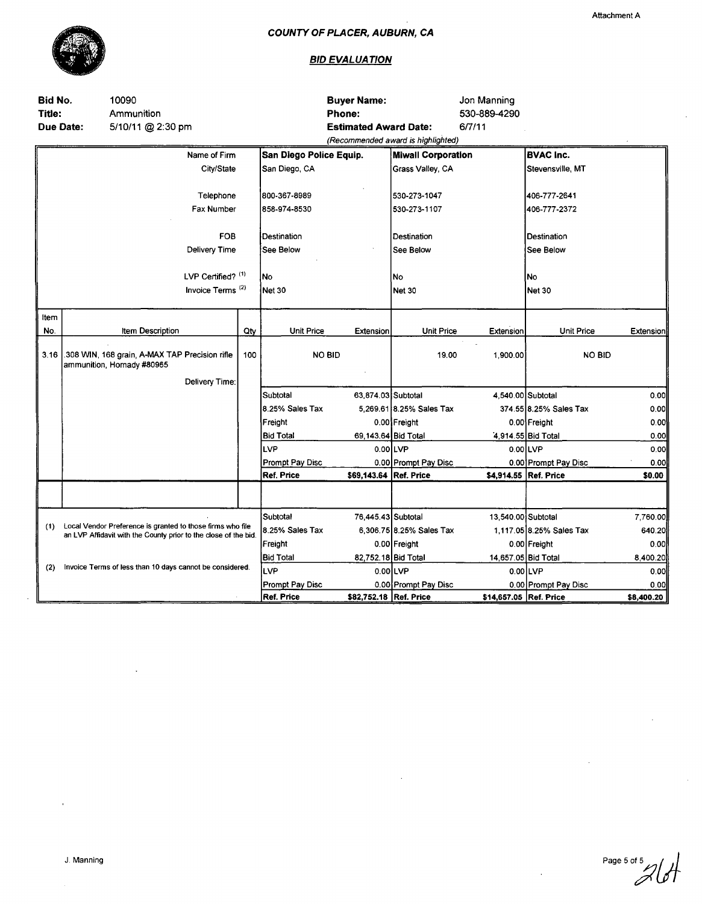

 $\bar{z}$ 

#### **BID EVALUATION**

| Bid No.<br>Title: | 10090<br>Ammunition                                             |                              |     |                         | <b>Buyer Name:</b><br>Phone: |                                    | Jon Manning<br>530-889-4290 |                          |            |
|-------------------|-----------------------------------------------------------------|------------------------------|-----|-------------------------|------------------------------|------------------------------------|-----------------------------|--------------------------|------------|
| <b>Due Date:</b>  | 5/10/11 @ 2:30 pm                                               |                              |     |                         | <b>Estimated Award Date:</b> |                                    | 6/7/11                      |                          |            |
|                   |                                                                 |                              |     |                         |                              | (Recommended award is highlighted) |                             |                          |            |
|                   |                                                                 | Name of Firm                 |     | San Diego Police Equip. |                              | <b>Miwall Corporation</b>          |                             | <b>BVAC Inc.</b>         |            |
|                   |                                                                 | City/State                   |     | San Diego, CA           |                              | Grass Valley, CA                   |                             | Stevensville, MT         |            |
|                   |                                                                 |                              |     |                         |                              |                                    |                             |                          |            |
|                   |                                                                 | Telephone                    |     | 800-367-8989            |                              | 530-273-1047                       |                             | 406-777-2641             |            |
|                   |                                                                 | Fax Number                   |     | 858-974-8530            |                              | 530-273-1107                       |                             | 406-777-2372             |            |
|                   |                                                                 | <b>FOB</b>                   |     | Destination             |                              | Destination                        |                             | Destination              |            |
|                   |                                                                 | Delivery Time                |     | See Below               |                              | See Below                          |                             | See Below                |            |
|                   |                                                                 |                              |     |                         |                              |                                    |                             |                          |            |
|                   |                                                                 | LVP Certified? (1)           |     | No                      |                              | No                                 |                             | No                       |            |
|                   |                                                                 | Invoice Terms <sup>(2)</sup> |     | <b>Net 30</b>           |                              | Net 30                             |                             | <b>Net 30</b>            |            |
| Item              |                                                                 |                              |     |                         |                              |                                    |                             |                          |            |
| No.               | Item Description                                                |                              | Qty | <b>Unit Price</b>       | Extension                    | <b>Unit Price</b>                  | Extension                   | Unit Price               | Extension  |
|                   | .308 WIN, 168 grain, A-MAX TAP Precision rifle                  |                              |     |                         |                              |                                    |                             |                          |            |
| 3.16              | ammunition, Hornady #80965                                      |                              | 100 |                         | <b>NO BID</b>                | 19.00                              | 1,900.00                    | NO BID                   |            |
|                   |                                                                 | Delivery Time:               |     |                         |                              |                                    |                             |                          |            |
|                   |                                                                 |                              |     | Subtotal                | 63.874.03 Subtotal           |                                    |                             | 4,540.00 Subtotal        | 0.00       |
|                   |                                                                 |                              |     | 8.25% Sales Tax         |                              | 5,269.61 8.25% Sales Tax           |                             | 374.55 8.25% Sales Tax   | o.ool      |
|                   |                                                                 |                              |     | Freight                 |                              | 0.00 Freight                       |                             | 0.00 Freight             | 0.00       |
|                   |                                                                 |                              |     | <b>Bid Total</b>        | 69,143.64 Bid Total          |                                    |                             | 4,914.55 Bid Total       | 0.00       |
|                   |                                                                 |                              |     | <b>LVP</b>              |                              | $0.00$ LVP                         |                             | $0.00$ LVP               | 0.00       |
|                   |                                                                 |                              |     | Prompt Pay Disc         |                              | 0.00 Prompt Pay Disc               |                             | 0.00 Prompt Pay Disc     | 0.00       |
|                   |                                                                 |                              |     | <b>Ref. Price</b>       | \$69,143.64 Ref. Price       |                                    |                             | \$4,914.55 Ref. Price    | \$0.00     |
|                   |                                                                 |                              |     |                         |                              |                                    |                             |                          |            |
|                   |                                                                 |                              |     | Subtotal                | 76,445.43 Subtotal           |                                    | 13,540.00 Subtotal          |                          | 7,760.00   |
| (1)               | Local Vendor Preference is granted to those firms who file      |                              |     | 8.25% Sales Tax         |                              | 6,306.75 8.25% Sales Tax           |                             | 1,117.05 8.25% Sales Tax | 640.20     |
|                   | an LVP Affidavit with the County prior to the close of the bid. |                              |     | Freight                 |                              | 0.00 Freight                       |                             | 0.00 Freight             | 0.00       |
|                   |                                                                 |                              |     | <b>Bid Total</b>        | 82,752.18 Bid Total          |                                    | 14,657.05 Bid Total         |                          | 8,400.20   |
| (2)               | Invoice Terms of less than 10 days cannot be considered.        |                              |     | llvp                    |                              | $0.00$ LVP                         |                             | 0.00 LVP                 | 0.00       |
|                   |                                                                 |                              |     | Prompt Pay Disc         |                              | 0.00 Prompt Pay Disc               |                             | 0.00 Prompt Pay Disc     | 0.00       |
|                   |                                                                 |                              |     | Ref. Price              | \$82,752.18 Ref. Price       |                                    | \$14,657.05 Ref. Price      |                          | \$8,400.20 |

 $\ddot{\phantom{a}}$ 

Page 5 of 5 İ

 $\bar{z}$ 

 $\overline{1}$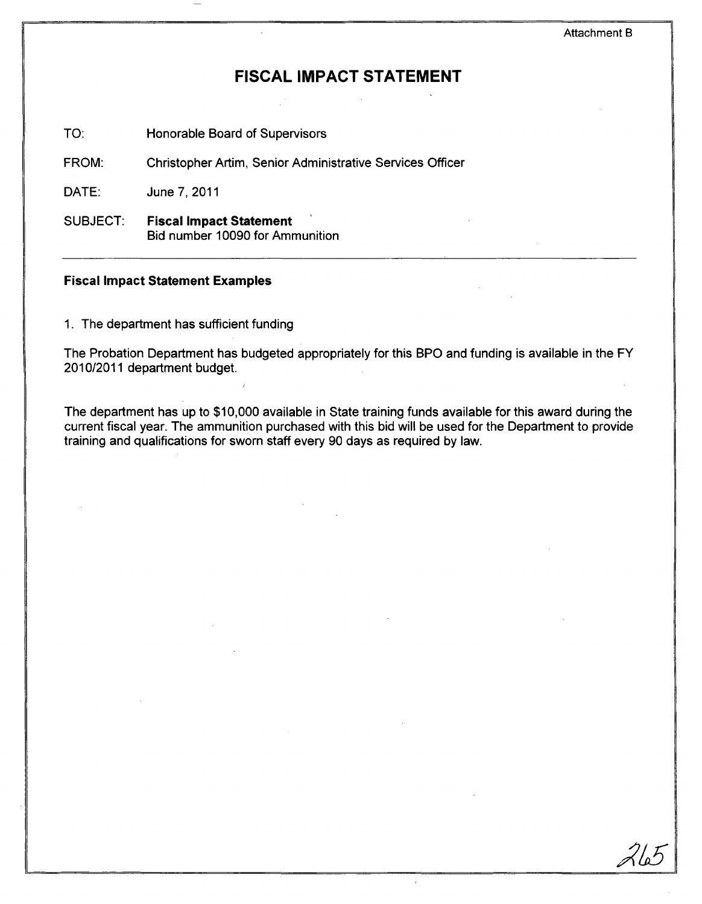# **FISCAL IMPACT STATEMENT**

TO: Honorable Board of Supervisors

FROM: Christopher Artim, Senior Administrative Services Officer

DATE: June 7,2011

SUBJECT: Fiscal Impact **Statement**  Bid number 10090 for Ammunition

#### **Fiscal Impact Statement Examples**

1. The department has sufficient funding

The Probation Department has budgeted appropriately for this BPO and funding is available in the FY 2010/2011 department budget.

The department has up to \$10,000 available in State training funds available for this award during the current fiscal year. The ammunition purchased with this bid will be used for the Department to provide training and qualifications for sworn staff every 90 days as required by law.